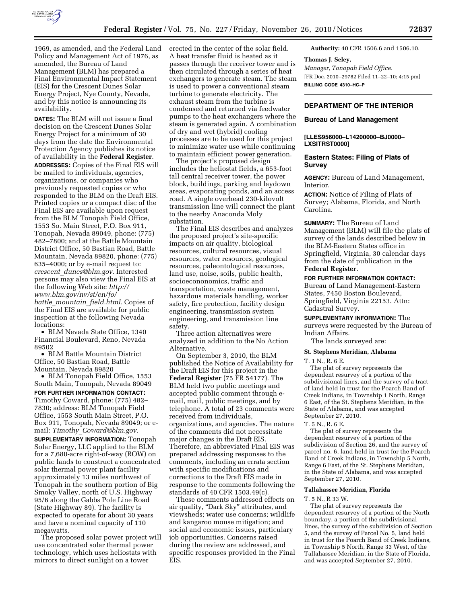

1969, as amended, and the Federal Land Policy and Management Act of 1976, as amended, the Bureau of Land Management (BLM) has prepared a Final Environmental Impact Statement (EIS) for the Crescent Dunes Solar Energy Project, Nye County, Nevada, and by this notice is announcing its availability.

**DATES:** The BLM will not issue a final decision on the Crescent Dunes Solar Energy Project for a minimum of 30 days from the date the Environmental Protection Agency publishes its notice of availability in the **Federal Register**. **ADDRESSES:** Copies of the Final EIS will be mailed to individuals, agencies, organizations, or companies who previously requested copies or who responded to the BLM on the Draft EIS. Printed copies or a compact disc of the Final EIS are available upon request from the BLM Tonopah Field Office, 1553 So. Main Street, P.O. Box 911, Tonopah, Nevada 89049, phone: (775) 482–7800; and at the Battle Mountain District Office, 50 Bastian Road, Battle Mountain, Nevada 89820, phone: (775) 635–4000; or by e-mail request to: *crescent*\_*[dunes@blm.gov.](mailto:crescent_dunes@blm.gov)* Interested persons may also view the Final EIS at the following Web site: *[http://](http://www.blm.gov/nv/st/en/fo/battle_mountain_field.html) [www.blm.gov/nv/st/en/fo/](http://www.blm.gov/nv/st/en/fo/battle_mountain_field.html) battle*\_*mountain*\_*[field.html.](http://www.blm.gov/nv/st/en/fo/battle_mountain_field.html)* Copies of the Final EIS are available for public inspection at the following Nevada locations:

• BLM Nevada State Office, 1340 Financial Boulevard, Reno, Nevada 89502

• BLM Battle Mountain District Office, 50 Bastian Road, Battle Mountain, Nevada 89820

• BLM Tonopah Field Office, 1553 South Main, Tonopah, Nevada 89049 **FOR FURTHER INFORMATION CONTACT:**  Timothy Coward, phone: (775) 482– 7830; address: BLM Tonopah Field Office, 1553 South Main Street, P.O. Box 911, Tonopah, Nevada 89049; or email: *Timothy*\_*[Coward@blm.gov.](mailto:Timothy_Coward@blm.gov)*  **SUPPLEMENTARY INFORMATION:** Tonopah Solar Energy, LLC applied to the BLM for a 7,680-acre right-of-way (ROW) on public lands to construct a concentrated solar thermal power plant facility approximately 13 miles northwest of Tonopah in the southern portion of Big Smoky Valley, north of U.S. Highway 95/6 along the Gabbs Pole Line Road (State Highway 89). The facility is expected to operate for about 30 years and have a nominal capacity of 110 megawatts.

The proposed solar power project will use concentrated solar thermal power technology, which uses heliostats with mirrors to direct sunlight on a tower

erected in the center of the solar field. A heat transfer fluid is heated as it passes through the receiver tower and is then circulated through a series of heat exchangers to generate steam. The steam is used to power a conventional steam turbine to generate electricity. The exhaust steam from the turbine is condensed and returned via feedwater pumps to the heat exchangers where the steam is generated again. A combination of dry and wet (hybrid) cooling processes are to be used for this project to minimize water use while continuing to maintain efficient power generation.

The project's proposed design includes the heliostat fields, a 653-foot tall central receiver tower, the power block, buildings, parking and laydown areas, evaporating ponds, and an access road. A single overhead 230-kilovolt transmission line will connect the plant to the nearby Anaconda Moly substation.

The Final EIS describes and analyzes the proposed project's site-specific impacts on air quality, biological resources, cultural resources, visual resources, water resources, geological resources, paleontological resources, land use, noise, soils, public health, socioecononomics, traffic and transportation, waste management, hazardous materials handling, worker safety, fire protection, facility design engineering, transmission system engineering, and transmission line safety.

Three action alternatives were analyzed in addition to the No Action Alternative.

On September 3, 2010, the BLM published the Notice of Availability for the Draft EIS for this project in the **Federal Register** (75 FR 54177). The BLM held two public meetings and accepted public comment through email, mail, public meetings, and by telephone. A total of 23 comments were received from individuals, organizations, and agencies. The nature of the comments did not necessitate major changes in the Draft EIS. Therefore, an abbreviated Final EIS was prepared addressing responses to the comments, including an errata section with specific modifications and corrections to the Draft EIS made in response to the comments following the standards of 40 CFR 1503.49(c).

These comments addressed effects on air quality, "Dark Sky" attributes, and viewsheds; water use concerns; wildlife and kangaroo mouse mitigation; and social and economic issues, particulary job opportunities. Concerns raised during the review are addressed, and specific responses provided in the Final EIS.

**Authority:** 40 CFR 1506.6 and 1506.10.

#### **Thomas J. Seley,**

*Manager, Tonopah Field Office.*  [FR Doc. 2010–29782 Filed 11–22–10; 4:15 pm] **BILLING CODE 4310–HC–P** 

# **DEPARTMENT OF THE INTERIOR**

### **Bureau of Land Management**

### **[LLES956000–L14200000–BJ0000– LXSITRST0000]**

### **Eastern States: Filing of Plats of Survey**

**AGENCY:** Bureau of Land Management, Interior.

**ACTION:** Notice of Filing of Plats of Survey; Alabama, Florida, and North Carolina.

**SUMMARY:** The Bureau of Land Management (BLM) will file the plats of survey of the lands described below in the BLM-Eastern States office in Springfield, Virginia, 30 calendar days from the date of publication in the **Federal Register**.

#### **FOR FURTHER INFORMATION CONTACT:**

Bureau of Land Management-Eastern States, 7450 Boston Boulevard, Springfield, Virginia 22153. Attn: Cadastral Survey.

**SUPPLEMENTARY INFORMATION:** The surveys were requested by the Bureau of Indian Affairs.

# The lands surveyed are:

# **St. Stephens Meridian, Alabama**

T. 1 N., R. 6 E.

The plat of survey represents the dependent resurvey of a portion of the subdivisional lines, and the survey of a tract of land held in trust for the Poarch Band of Creek Indians, in Township 1 North, Range 6 East, of the St. Stephens Meridian, in the State of Alabama, and was accepted September 27, 2010.

T. 5 N., R. 6 E.

The plat of survey represents the dependent resurvey of a portion of the subdivision of Section 26, and the survey of parcel no. 6, land held in trust for the Poarch Band of Creek Indians, in Township 5 North, Range 6 East, of the St. Stephens Meridian, in the State of Alabama, and was accepted September 27, 2010.

#### **Tallahassee Meridian, Florida**

T. 5 N., R 33 W.

The plat of survey represents the dependent resurvey of a portion of the North boundary, a portion of the subdivisional lines, the survey of the subdivision of Section 5, and the survey of Parcel No. 5, land held in trust for the Poarch Band of Creek Indians, in Township 5 North, Range 33 West, of the Tallahassee Meridian, in the State of Florida, and was accepted September 27, 2010.